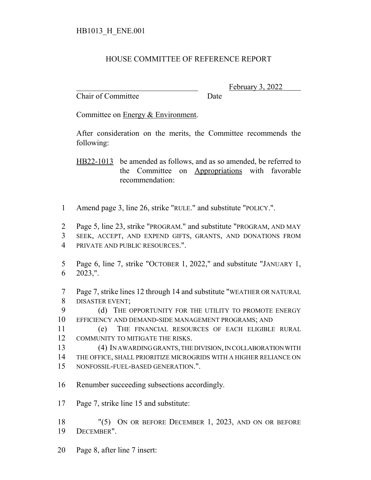## HOUSE COMMITTEE OF REFERENCE REPORT

Chair of Committee Date

February 3, 2022

Committee on Energy & Environment.

After consideration on the merits, the Committee recommends the following:

HB22-1013 be amended as follows, and as so amended, be referred to the Committee on Appropriations with favorable recommendation:

1 Amend page 3, line 26, strike "RULE." and substitute "POLICY.".

2 Page 5, line 23, strike "PROGRAM." and substitute "PROGRAM, AND MAY

3 SEEK, ACCEPT, AND EXPEND GIFTS, GRANTS, AND DONATIONS FROM 4 PRIVATE AND PUBLIC RESOURCES.".

5 Page 6, line 7, strike "OCTOBER 1, 2022," and substitute "JANUARY 1, 6 2023,".

7 Page 7, strike lines 12 through 14 and substitute "WEATHER OR NATURAL 8 DISASTER EVENT;

9 (d) THE OPPORTUNITY FOR THE UTILITY TO PROMOTE ENERGY 10 EFFICIENCY AND DEMAND-SIDE MANAGEMENT PROGRAMS; AND

11 (e) THE FINANCIAL RESOURCES OF EACH ELIGIBLE RURAL 12 COMMUNITY TO MITIGATE THE RISKS.

13 (4) IN AWARDING GRANTS, THE DIVISION, IN COLLABORATION WITH 14 THE OFFICE, SHALL PRIORITIZE MICROGRIDS WITH A HIGHER RELIANCE ON 15 NONFOSSIL-FUEL-BASED GENERATION.".

- 
- 16 Renumber succeeding subsections accordingly.
- 17 Page 7, strike line 15 and substitute:

18 "(5) ON OR BEFORE DECEMBER 1, 2023, AND ON OR BEFORE 19 DECEMBER".

20 Page 8, after line 7 insert: